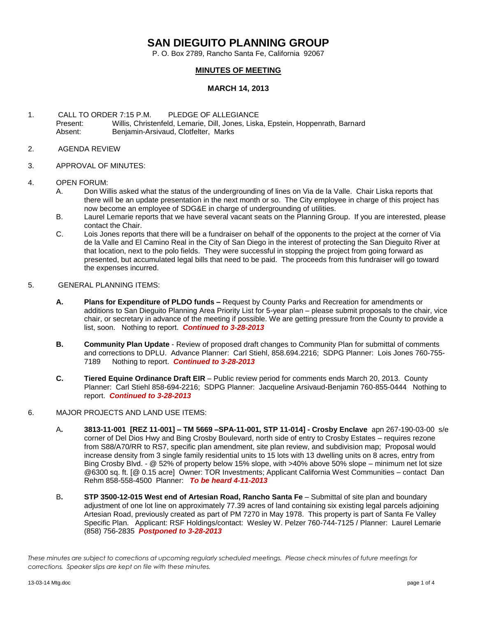# **SAN DIEGUITO PLANNING GROUP**

P. O. Box 2789, Rancho Santa Fe, California 92067

### **MINUTES OF MEETING**

#### **MARCH 14, 2013**

- 1. CALL TO ORDER 7:15 P.M. PLEDGE OF ALLEGIANCE Present: Willis, Christenfeld, Lemarie, Dill, Jones, Liska, Epstein, Hoppenrath, Barnard Absent: Benjamin-Arsivaud, Clotfelter, Marks
- 2. AGENDA REVIEW
- 3. APPROVAL OF MINUTES:

#### 4. OPEN FORUM:

- A. Don Willis asked what the status of the undergrounding of lines on Via de la Valle. Chair Liska reports that there will be an update presentation in the next month or so. The City employee in charge of this project has now become an employee of SDG&E in charge of undergrounding of utilities.
- B. Laurel Lemarie reports that we have several vacant seats on the Planning Group. If you are interested, please contact the Chair.
- C. Lois Jones reports that there will be a fundraiser on behalf of the opponents to the project at the corner of Via de la Valle and El Camino Real in the City of San Diego in the interest of protecting the San Dieguito River at that location, next to the polo fields. They were successful in stopping the project from going forward as presented, but accumulated legal bills that need to be paid. The proceeds from this fundraiser will go toward the expenses incurred.

#### 5. GENERAL PLANNING ITEMS:

- **A. Plans for Expenditure of PLDO funds –** Request by County Parks and Recreation for amendments or additions to San Dieguito Planning Area Priority List for 5-year plan – please submit proposals to the chair, vice chair, or secretary in advance of the meeting if possible. We are getting pressure from the County to provide a list, soon.Nothing to report. *Continued to 3-28-2013*
- **B. Community Plan Update** Review of proposed draft changes to Community Plan for submittal of comments and corrections to DPLU. Advance Planner: Carl Stiehl, 858.694.2216; SDPG Planner: Lois Jones 760-755- 7189 Nothing to report. *Continued to 3-28-2013*
- **C. Tiered Equine Ordinance Draft EIR**  Public review period for comments ends March 20, 2013. County Planner: Carl Stiehl 858-694-2216; SDPG Planner: Jacqueline Arsivaud-Benjamin 760-855-0444 Nothing to report. *Continued to 3-28-2013*
- 6. MAJOR PROJECTS AND LAND USE ITEMS:
	- A**. 3813-11-001 [REZ 11-001] – TM 5669 –SPA-11-001, STP 11-014] - Crosby Enclave** apn 267-190-03-00 s/e corner of Del Dios Hwy and Bing Crosby Boulevard, north side of entry to Crosby Estates – requires rezone from S88/A70/RR to RS7, specific plan amendment, site plan review, and subdivision map; Proposal would increase density from 3 single family residential units to 15 lots with 13 dwelling units on 8 acres, entry from Bing Crosby Blvd. - @ 52% of property below 15% slope, with >40% above 50% slope – minimum net lot size @6300 sq. ft. [@ 0.15 acre] Owner: TOR Investments; Applicant California West Communities – contact Dan Rehm 858-558-4500 Planner: *To be heard 4-11-2013*
	- B**. STP 3500-12-015 West end of Artesian Road, Rancho Santa Fe** Submittal of site plan and boundary adjustment of one lot line on approximately 77.39 acres of land containing six existing legal parcels adjoining Artesian Road, previously created as part of PM 7270 in May 1978. This property is part of Santa Fe Valley Specific Plan.Applicant: RSF Holdings/contact: Wesley W. Pelzer 760-744-7125 / Planner: Laurel Lemarie (858) 756-2835 *Postponed to 3-28-2013*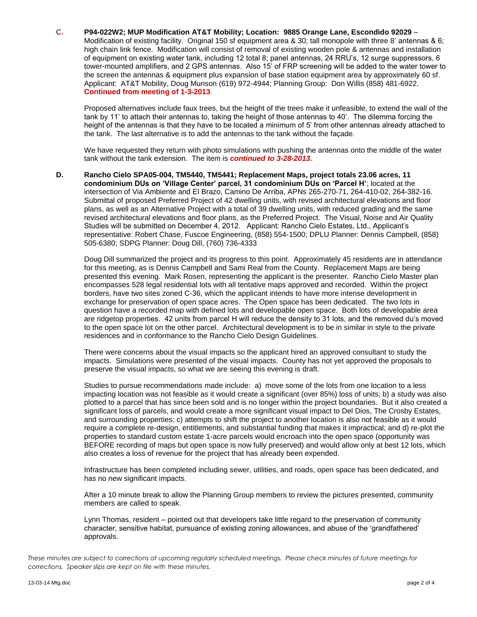#### C**. P94-022W2; MUP Modification AT&T Mobility; Location: 9885 Orange Lane, Escondido 92029** –

Modification of existing facility. Original 150 sf equipment area & 30; tall monopole with three 8' antennas & 6; high chain link fence. Modification will consist of removal of existing wooden pole & antennas and installation of equipment on existing water tank, including 12 total 8; panel antennas, 24 RRU's, 12 surge suppressors, 6 tower-mounted amplifiers, and 2 GPS antennas. Also 15' of FRP screening will be added to the water tower to the screen the antennas & equipment plus expansion of base station equipment area by approximately 60 sf. Applicant: AT&T Mobility, Doug Munson (619) 972-4944; Planning Group: Don Willis (858) 481-6922. **Continued from meeting of 1-3-2013**.

Proposed alternatives include faux trees, but the height of the trees make it unfeasible, to extend the wall of the tank by 11' to attach their antennas to, taking the height of those antennas to 40'. The dilemma forcing the height of the antennas is that they have to be located a minimum of 5' from other antennas already attached to the tank. The last alternative is to add the antennas to the tank without the façade.

We have requested they return with photo simulations with pushing the antennas onto the middle of the water tank without the tank extension. The item is *continued to 3-28-2013.*

**D. Rancho Cielo SPA05-004, TM5440, TM5441; Replacement Maps, project totals 23.06 acres, 11 condominium DUs on 'Village Center' parcel, 31 condominium DUs on 'Parcel H'**; located at the intersection of Via Ambiente and El Brazo, Camino De Arriba, APNs 265-270-71, 264-410-02, 264-382-16. Submittal of proposed Preferred Project of 42 dwelling units, with revised architectural elevations and floor plans, as well as an Alternative Project with a total of 39 dwelling units, with reduced grading and the same revised architectural elevations and floor plans, as the Preferred Project. The Visual, Noise and Air Quality Studies will be submitted on December 4, 2012. Applicant: Rancho Cielo Estates, Ltd., Applicant's representative: Robert Chase, Fuscoe Engineering, (858) 554-1500; DPLU Planner: Dennis Campbell, (858) 505-6380; SDPG Planner: Doug Dill, (760) 736-4333

Doug Dill summarized the project and its progress to this point. Approximately 45 residents are in attendance for this meeting, as is Dennis Campbell and Sami Real from the County. Replacement Maps are being presented this evening. Mark Rosen, representing the applicant is the presenter. Rancho Cielo Master plan encompasses 528 legal residential lots with all tentative maps approved and recorded. Within the project borders, have two sites zoned C-36, which the applicant intends to have more intense development in exchange for preservation of open space acres. The Open space has been dedicated. The two lots in question have a recorded map with defined lots and developable open space. Both lots of developable area are ridgetop properties. 42 units from parcel H will reduce the density to 31 lots, and the removed du's moved to the open space lot on the other parcel. Architectural development is to be in similar in style to the private residences and in conformance to the Rancho Cielo Design Guidelines.

There were concerns about the visual impacts so the applicant hired an approved consultant to study the impacts. Simulations were presented of the visual impacts. County has not yet approved the proposals to preserve the visual impacts, so what we are seeing this evening is draft.

Studies to pursue recommendations made include: a) move some of the lots from one location to a less impacting location was not feasible as it would create a significant (over 85%) loss of units; b) a study was also plotted to a parcel that has since been sold and is no longer within the project boundaries. But it also created a significant loss of parcels, and would create a more significant visual impact to Del Dios, The Crosby Estates, and surrounding properties; c) attempts to shift the project to another location is also not feasible as it would require a complete re-design, entitlements, and substantial funding that makes it impractical; and d) re-plot the properties to standard custom estate 1-acre parcels would encroach into the open space (opportunity was BEFORE recording of maps but open space is now fully preserved) and would allow only at best 12 lots, which also creates a loss of revenue for the project that has already been expended.

Infrastructure has been completed including sewer, utilities, and roads, open space has been dedicated, and has no new significant impacts.

After a 10 minute break to allow the Planning Group members to review the pictures presented, community members are called to speak.

Lynn Thomas, resident – pointed out that developers take little regard to the preservation of community character, sensitive habitat, pursuance of existing zoning allowances, and abuse of the 'grandfathered' approvals.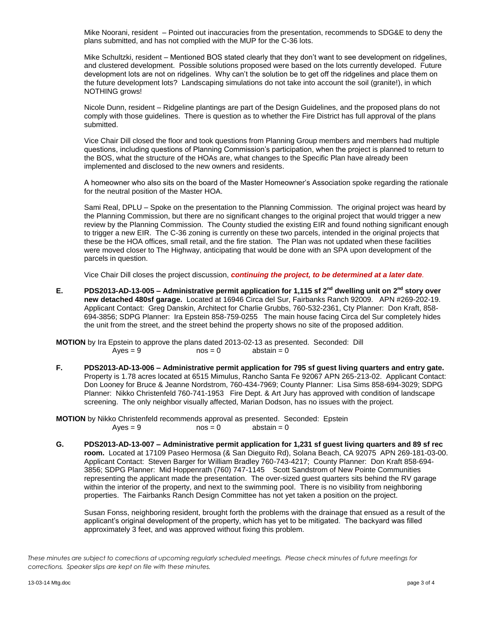Mike Noorani, resident – Pointed out inaccuracies from the presentation, recommends to SDG&E to deny the plans submitted, and has not complied with the MUP for the C-36 lots.

Mike Schultzki, resident – Mentioned BOS stated clearly that they don't want to see development on ridgelines, and clustered development. Possible solutions proposed were based on the lots currently developed. Future development lots are not on ridgelines. Why can't the solution be to get off the ridgelines and place them on the future development lots? Landscaping simulations do not take into account the soil (granite!), in which NOTHING grows!

Nicole Dunn, resident – Ridgeline plantings are part of the Design Guidelines, and the proposed plans do not comply with those guidelines. There is question as to whether the Fire District has full approval of the plans submitted.

Vice Chair Dill closed the floor and took questions from Planning Group members and members had multiple questions, including questions of Planning Commission's participation, when the project is planned to return to the BOS, what the structure of the HOAs are, what changes to the Specific Plan have already been implemented and disclosed to the new owners and residents.

A homeowner who also sits on the board of the Master Homeowner's Association spoke regarding the rationale for the neutral position of the Master HOA.

Sami Real, DPLU – Spoke on the presentation to the Planning Commission. The original project was heard by the Planning Commission, but there are no significant changes to the original project that would trigger a new review by the Planning Commission. The County studied the existing EIR and found nothing significant enough to trigger a new EIR. The C-36 zoning is currently on these two parcels, intended in the original projects that these be the HOA offices, small retail, and the fire station. The Plan was not updated when these facilities were moved closer to The Highway, anticipating that would be done with an SPA upon development of the parcels in question.

Vice Chair Dill closes the project discussion, *continuing the project, to be determined at a later date.*

**E. PDS2013-AD-13-005 – Administrative permit application for 1,115 sf 2nd dwelling unit on 2nd story over new detached 480sf garage.** Located at 16946 Circa del Sur, Fairbanks Ranch 92009. APN #269-202-19. Applicant Contact: Greg Danskin, Architect for Charlie Grubbs, 760-532-2361, Cty Planner: Don Kraft, 858- 694-3856; SDPG Planner: Ira Epstein 858-759-0255 The main house facing Circa del Sur completely hides the unit from the street, and the street behind the property shows no site of the proposed addition.

**MOTION** by Ira Epstein to approve the plans dated 2013-02-13 as presented. Seconded: Dill  $Ayes = 9$  nos = 0 abstain = 0

**F. PDS2013-AD-13-006 – Administrative permit application for 795 sf guest living quarters and entry gate.**  Property is 1.78 acres located at 6515 Mimulus, Rancho Santa Fe 92067 APN 265-213-02. Applicant Contact: Don Looney for Bruce & Jeanne Nordstrom, 760-434-7969; County Planner: Lisa Sims 858-694-3029; SDPG Planner: Nikko Christenfeld 760-741-1953 Fire Dept. & Art Jury has approved with condition of landscape screening. The only neighbor visually affected, Marian Dodson, has no issues with the project.

**MOTION** by Nikko Christenfeld recommends approval as presented. Seconded: Epstein  $Ayes = 9$  nos = 0 abstain = 0

**G. PDS2013-AD-13-007 – Administrative permit application for 1,231 sf guest living quarters and 89 sf rec room.** Located at 17109 Paseo Hermosa (& San Dieguito Rd), Solana Beach, CA 92075 APN 269-181-03-00. Applicant Contact: Steven Barger for William Bradley 760-743-4217; County Planner: Don Kraft 858-694- 3856; SDPG Planner: Mid Hoppenrath (760) 747-1145 Scott Sandstrom of New Pointe Communities representing the applicant made the presentation. The over-sized guest quarters sits behind the RV garage within the interior of the property, and next to the swimming pool. There is no visibility from neighboring properties. The Fairbanks Ranch Design Committee has not yet taken a position on the project.

Susan Fonss, neighboring resident, brought forth the problems with the drainage that ensued as a result of the applicant's original development of the property, which has yet to be mitigated. The backyard was filled approximately 3 feet, and was approved without fixing this problem.